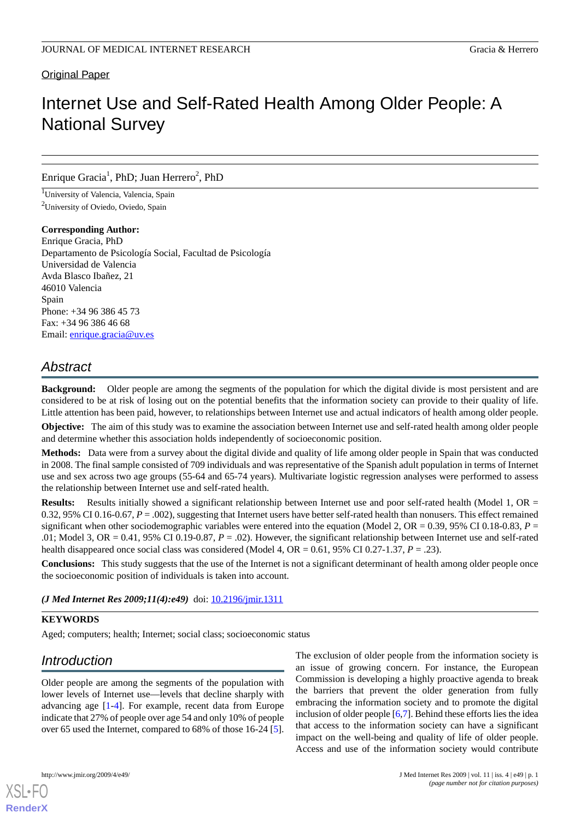# Original Paper

# Internet Use and Self-Rated Health Among Older People: A National Survey

# Enrique Gracia<sup>1</sup>, PhD; Juan Herrero<sup>2</sup>, PhD

<sup>1</sup>University of Valencia, Valencia, Spain <sup>2</sup>University of Oviedo, Oviedo, Spain

#### **Corresponding Author:**

Enrique Gracia, PhD Departamento de Psicología Social, Facultad de Psicología Universidad de Valencia Avda Blasco Ibañez, 21 46010 Valencia Spain Phone: +34 96 386 45 73 Fax: +34 96 386 46 68 Email: [enrique.gracia@uv.es](mailto:enrique.gracia@uv.es)

# *Abstract*

**Background:** Older people are among the segments of the population for which the digital divide is most persistent and are considered to be at risk of losing out on the potential benefits that the information society can provide to their quality of life. Little attention has been paid, however, to relationships between Internet use and actual indicators of health among older people.

**Objective:** The aim of this study was to examine the association between Internet use and self-rated health among older people and determine whether this association holds independently of socioeconomic position.

**Methods:** Data were from a survey about the digital divide and quality of life among older people in Spain that was conducted in 2008. The final sample consisted of 709 individuals and was representative of the Spanish adult population in terms of Internet use and sex across two age groups (55-64 and 65-74 years). Multivariate logistic regression analyses were performed to assess the relationship between Internet use and self-rated health.

Results: Results initially showed a significant relationship between Internet use and poor self-rated health (Model 1, OR = 0.32, 95% CI 0.16-0.67, *P* = .002), suggesting that Internet users have better self-rated health than nonusers. This effect remained significant when other sociodemographic variables were entered into the equation (Model 2,  $OR = 0.39$ , 95% CI 0.18-0.83,  $P =$ .01; Model 3, OR =  $0.41$ , 95% CI 0.19-0.87,  $P = .02$ ). However, the significant relationship between Internet use and self-rated health disappeared once social class was considered (Model 4, OR = 0.61, 95% CI 0.27-1.37, *P* = .23).

**Conclusions:** This study suggests that the use of the Internet is not a significant determinant of health among older people once the socioeconomic position of individuals is taken into account.

# *(J Med Internet Res 2009;11(4):e49)* doi:  $10.2196/$ jmir.1311

# **KEYWORDS**

Aged; computers; health; Internet; social class; socioeconomic status

# *Introduction*

Older people are among the segments of the population with lower levels of Internet use—levels that decline sharply with advancing age [[1-](#page-5-0)[4](#page-5-1)]. For example, recent data from Europe indicate that 27% of people over age 54 and only 10% of people over 65 used the Internet, compared to 68% of those 16-24 [[5\]](#page-5-2).

The exclusion of older people from the information society is an issue of growing concern. For instance, the European Commission is developing a highly proactive agenda to break the barriers that prevent the older generation from fully embracing the information society and to promote the digital inclusion of older people [\[6](#page-5-3)[,7](#page-5-4)]. Behind these efforts lies the idea that access to the information society can have a significant impact on the well-being and quality of life of older people. Access and use of the information society would contribute



**[RenderX](http://www.renderx.com/)**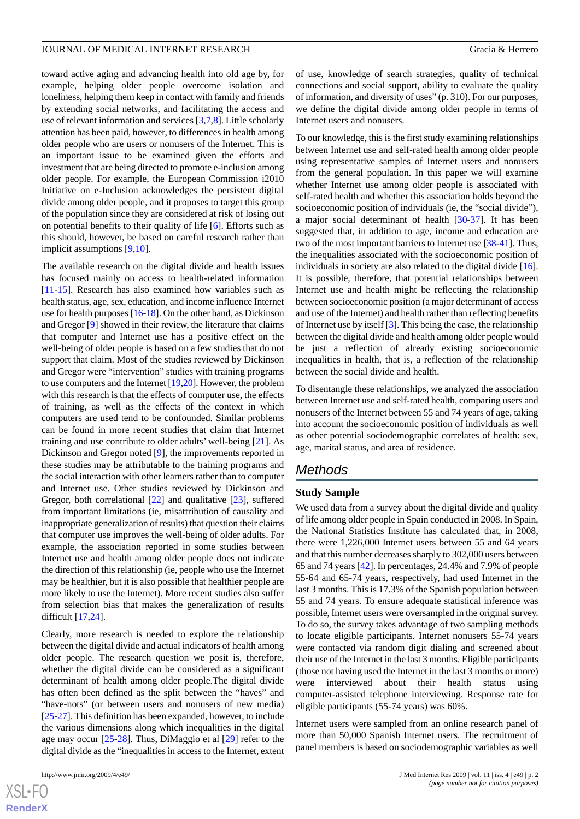toward active aging and advancing health into old age by, for example, helping older people overcome isolation and loneliness, helping them keep in contact with family and friends by extending social networks, and facilitating the access and use of relevant information and services [\[3](#page-5-5),[7](#page-5-4)[,8\]](#page-5-6). Little scholarly attention has been paid, however, to differences in health among older people who are users or nonusers of the Internet. This is an important issue to be examined given the efforts and investment that are being directed to promote e-inclusion among older people. For example, the European Commission i2010 Initiative on e-Inclusion acknowledges the persistent digital divide among older people, and it proposes to target this group of the population since they are considered at risk of losing out on potential benefits to their quality of life [[6\]](#page-5-3). Efforts such as this should, however, be based on careful research rather than implicit assumptions [\[9](#page-5-7),[10\]](#page-5-8).

The available research on the digital divide and health issues has focused mainly on access to health-related information [[11](#page-5-9)[-15](#page-6-0)]. Research has also examined how variables such as health status, age, sex, education, and income influence Internet use for health purposes [\[16-](#page-6-1)[18\]](#page-6-2). On the other hand, as Dickinson and Gregor [[9\]](#page-5-7) showed in their review, the literature that claims that computer and Internet use has a positive effect on the well-being of older people is based on a few studies that do not support that claim. Most of the studies reviewed by Dickinson and Gregor were "intervention" studies with training programs to use computers and the Internet [[19,](#page-6-3)[20\]](#page-6-4). However, the problem with this research is that the effects of computer use, the effects of training, as well as the effects of the context in which computers are used tend to be confounded. Similar problems can be found in more recent studies that claim that Internet training and use contribute to older adults' well-being [\[21](#page-6-5)]. As Dickinson and Gregor noted [\[9](#page-5-7)], the improvements reported in these studies may be attributable to the training programs and the social interaction with other learners rather than to computer and Internet use. Other studies reviewed by Dickinson and Gregor, both correlational [[22\]](#page-6-6) and qualitative [[23\]](#page-6-7), suffered from important limitations (ie, misattribution of causality and inappropriate generalization of results) that question their claims that computer use improves the well-being of older adults. For example, the association reported in some studies between Internet use and health among older people does not indicate the direction of this relationship (ie, people who use the Internet may be healthier, but it is also possible that healthier people are more likely to use the Internet). More recent studies also suffer from selection bias that makes the generalization of results difficult [\[17](#page-6-8),[24\]](#page-6-9).

Clearly, more research is needed to explore the relationship between the digital divide and actual indicators of health among older people. The research question we posit is, therefore, whether the digital divide can be considered as a significant determinant of health among older people.The digital divide has often been defined as the split between the "haves" and "have-nots" (or between users and nonusers of new media) [[25-](#page-6-10)[27](#page-6-11)]. This definition has been expanded, however, to include the various dimensions along which inequalities in the digital age may occur [\[25](#page-6-10)-[28\]](#page-6-12). Thus, DiMaggio et al [\[29](#page-6-13)] refer to the digital divide as the "inequalities in access to the Internet, extent

 $XS$ -FO **[RenderX](http://www.renderx.com/)** of use, knowledge of search strategies, quality of technical connections and social support, ability to evaluate the quality of information, and diversity of uses" (p. 310). For our purposes, we define the digital divide among older people in terms of Internet users and nonusers.

To our knowledge, this is the first study examining relationships between Internet use and self-rated health among older people using representative samples of Internet users and nonusers from the general population. In this paper we will examine whether Internet use among older people is associated with self-rated health and whether this association holds beyond the socioeconomic position of individuals (ie, the "social divide"), a major social determinant of health [[30-](#page-6-14)[37](#page-6-15)]. It has been suggested that, in addition to age, income and education are two of the most important barriers to Internet use [[38-](#page-7-0)[41\]](#page-7-1). Thus, the inequalities associated with the socioeconomic position of individuals in society are also related to the digital divide [[16\]](#page-6-1). It is possible, therefore, that potential relationships between Internet use and health might be reflecting the relationship between socioeconomic position (a major determinant of access and use of the Internet) and health rather than reflecting benefits of Internet use by itself [\[3](#page-5-5)]. This being the case, the relationship between the digital divide and health among older people would be just a reflection of already existing socioeconomic inequalities in health, that is, a reflection of the relationship between the social divide and health.

To disentangle these relationships, we analyzed the association between Internet use and self-rated health, comparing users and nonusers of the Internet between 55 and 74 years of age, taking into account the socioeconomic position of individuals as well as other potential sociodemographic correlates of health: sex, age, marital status, and area of residence.

# *Methods*

#### **Study Sample**

We used data from a survey about the digital divide and quality of life among older people in Spain conducted in 2008. In Spain, the National Statistics Institute has calculated that, in 2008, there were 1,226,000 Internet users between 55 and 64 years and that this number decreases sharply to 302,000 users between 65 and 74 years [[42\]](#page-7-2). In percentages, 24.4% and 7.9% of people 55-64 and 65-74 years, respectively, had used Internet in the last 3 months. This is 17.3% of the Spanish population between 55 and 74 years. To ensure adequate statistical inference was possible, Internet users were oversampled in the original survey. To do so, the survey takes advantage of two sampling methods to locate eligible participants. Internet nonusers 55-74 years were contacted via random digit dialing and screened about their use of the Internet in the last 3 months. Eligible participants (those not having used the Internet in the last 3 months or more) were interviewed about their health status using computer-assisted telephone interviewing. Response rate for eligible participants (55-74 years) was 60%.

Internet users were sampled from an online research panel of more than 50,000 Spanish Internet users. The recruitment of panel members is based on sociodemographic variables as well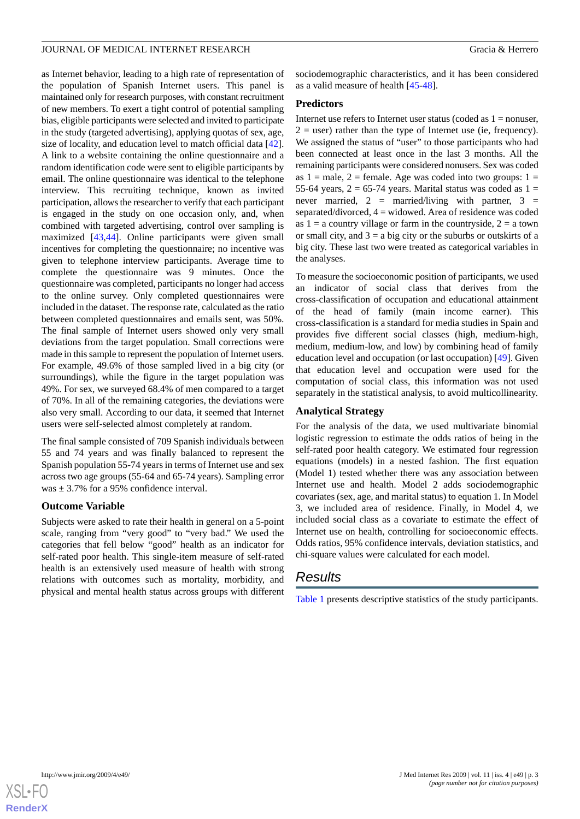as Internet behavior, leading to a high rate of representation of the population of Spanish Internet users. This panel is maintained only for research purposes, with constant recruitment of new members. To exert a tight control of potential sampling bias, eligible participants were selected and invited to participate in the study (targeted advertising), applying quotas of sex, age, size of locality, and education level to match official data [[42\]](#page-7-2). A link to a website containing the online questionnaire and a random identification code were sent to eligible participants by email. The online questionnaire was identical to the telephone interview. This recruiting technique, known as invited participation, allows the researcher to verify that each participant is engaged in the study on one occasion only, and, when combined with targeted advertising, control over sampling is maximized [\[43](#page-7-3),[44\]](#page-7-4). Online participants were given small incentives for completing the questionnaire; no incentive was given to telephone interview participants. Average time to complete the questionnaire was 9 minutes. Once the questionnaire was completed, participants no longer had access to the online survey. Only completed questionnaires were included in the dataset. The response rate, calculated as the ratio between completed questionnaires and emails sent, was 50%. The final sample of Internet users showed only very small deviations from the target population. Small corrections were made in this sample to represent the population of Internet users. For example, 49.6% of those sampled lived in a big city (or surroundings), while the figure in the target population was 49%. For sex, we surveyed 68.4% of men compared to a target of 70%. In all of the remaining categories, the deviations were also very small. According to our data, it seemed that Internet users were self-selected almost completely at random.

The final sample consisted of 709 Spanish individuals between 55 and 74 years and was finally balanced to represent the Spanish population 55-74 years in terms of Internet use and sex across two age groups (55-64 and 65-74 years). Sampling error was  $\pm$  3.7% for a 95% confidence interval.

## **Outcome Variable**

Subjects were asked to rate their health in general on a 5-point scale, ranging from "very good" to "very bad." We used the categories that fell below "good" health as an indicator for self-rated poor health. This single-item measure of self-rated health is an extensively used measure of health with strong relations with outcomes such as mortality, morbidity, and physical and mental health status across groups with different sociodemographic characteristics, and it has been considered as a valid measure of health [[45-](#page-7-5)[48\]](#page-7-6).

# **Predictors**

Internet use refers to Internet user status (coded as  $1 =$  nonuser,  $2 =$  user) rather than the type of Internet use (ie, frequency). We assigned the status of "user" to those participants who had been connected at least once in the last 3 months. All the remaining participants were considered nonusers. Sex was coded as  $1 =$  male,  $2 =$  female. Age was coded into two groups:  $1 =$ 55-64 years,  $2 = 65-74$  years. Marital status was coded as  $1 =$ never married,  $2 =$  married/living with partner,  $3 =$ separated/divorced, 4 = widowed. Area of residence was coded as  $1 = a$  country village or farm in the countryside,  $2 = a$  town or small city, and  $3 = a$  big city or the suburbs or outskirts of a big city. These last two were treated as categorical variables in the analyses.

To measure the socioeconomic position of participants, we used an indicator of social class that derives from the cross-classification of occupation and educational attainment of the head of family (main income earner). This cross-classification is a standard for media studies in Spain and provides five different social classes (high, medium-high, medium, medium-low, and low) by combining head of family education level and occupation (or last occupation) [[49\]](#page-7-7). Given that education level and occupation were used for the computation of social class, this information was not used separately in the statistical analysis, to avoid multicollinearity.

# **Analytical Strategy**

For the analysis of the data, we used multivariate binomial logistic regression to estimate the odds ratios of being in the self-rated poor health category. We estimated four regression equations (models) in a nested fashion. The first equation (Model 1) tested whether there was any association between Internet use and health. Model 2 adds sociodemographic covariates (sex, age, and marital status) to equation 1. In Model 3, we included area of residence. Finally, in Model 4, we included social class as a covariate to estimate the effect of Internet use on health, controlling for socioeconomic effects. Odds ratios, 95% confidence intervals, deviation statistics, and chi-square values were calculated for each model.

# *Results*

[Table 1](#page-3-0) presents descriptive statistics of the study participants.

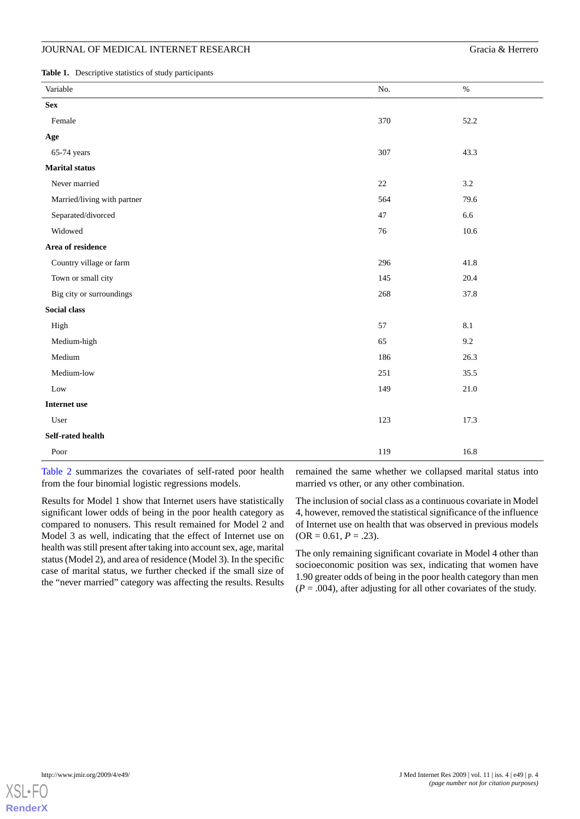<span id="page-3-0"></span>**Table 1.** Descriptive statistics of study participants

| Variable                    | No.    | $\%$    |
|-----------------------------|--------|---------|
| <b>Sex</b>                  |        |         |
| Female                      | 370    | 52.2    |
| Age                         |        |         |
| 65-74 years                 | 307    | 43.3    |
| <b>Marital</b> status       |        |         |
| Never married               | $22\,$ | $3.2\,$ |
| Married/living with partner | 564    | 79.6    |
| Separated/divorced          | $47\,$ | 6.6     |
| Widowed                     | $76\,$ | 10.6    |
| Area of residence           |        |         |
| Country village or farm     | 296    | 41.8    |
| Town or small city          | 145    | 20.4    |
| Big city or surroundings    | 268    | 37.8    |
| Social class                |        |         |
| High                        | 57     | $8.1\,$ |
| Medium-high                 | 65     | 9.2     |
| Medium                      | 186    | 26.3    |
| Medium-low                  | 251    | 35.5    |
| Low                         | 149    | 21.0    |
| Internet use                |        |         |
| User                        | 123    | 17.3    |
| Self-rated health           |        |         |
| Poor                        | 119    | 16.8    |

[Table 2](#page-4-0) summarizes the covariates of self-rated poor health from the four binomial logistic regressions models.

remained the same whether we collapsed marital status into married vs other, or any other combination.

Results for Model 1 show that Internet users have statistically significant lower odds of being in the poor health category as compared to nonusers. This result remained for Model 2 and Model 3 as well, indicating that the effect of Internet use on health was still present after taking into account sex, age, marital status (Model 2), and area of residence (Model 3). In the specific case of marital status, we further checked if the small size of the "never married" category was affecting the results. Results

The inclusion of social class as a continuous covariate in Model 4, however, removed the statistical significance of the influence of Internet use on health that was observed in previous models  $(OR = 0.61, P = .23).$ 

The only remaining significant covariate in Model 4 other than socioeconomic position was sex, indicating that women have 1.90 greater odds of being in the poor health category than men  $(P = .004)$ , after adjusting for all other covariates of the study.

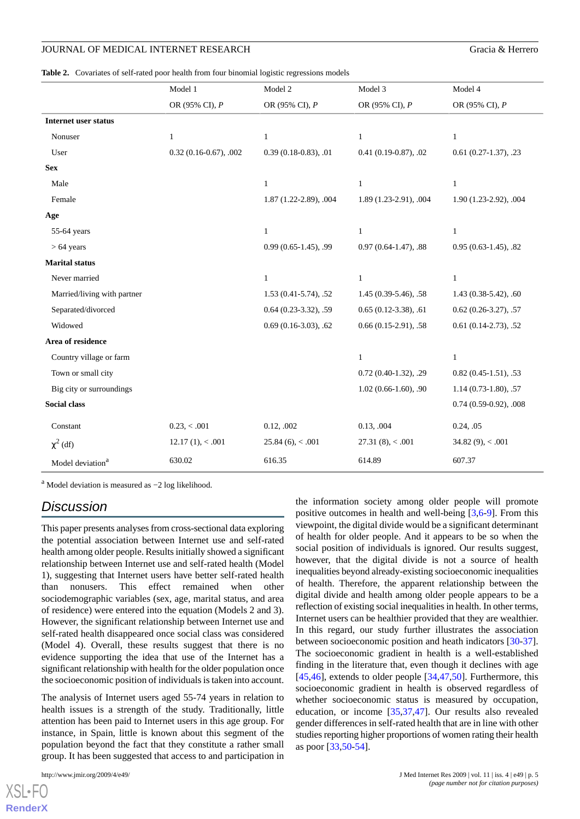<span id="page-4-0"></span>**Table 2.** Covariates of self-rated poor health from four binomial logistic regressions models

|                              | Model 1                 | Model 2                | Model 3                    | Model 4                    |
|------------------------------|-------------------------|------------------------|----------------------------|----------------------------|
|                              | OR (95% CI), P          | OR (95% CI), P         | OR (95% CI), P             | OR (95% CI), P             |
| <b>Internet user status</b>  |                         |                        |                            |                            |
| Nonuser                      | $\mathbf{1}$            | $\mathbf{1}$           | $\mathbf{1}$               | $\mathbf{1}$               |
| User                         | $0.32(0.16-0.67), .002$ | $0.39(0.18-0.83), .01$ | $0.41(0.19-0.87), .02$     | $0.61(0.27-1.37), .23$     |
| <b>Sex</b>                   |                         |                        |                            |                            |
| Male                         |                         | $\mathbf{1}$           | $\mathbf{1}$               | $\mathbf{1}$               |
| Female                       |                         | 1.87 (1.22-2.89), .004 | 1.89 (1.23-2.91), .004     | 1.90 (1.23-2.92), .004     |
| Age                          |                         |                        |                            |                            |
| 55-64 years                  |                         | $\mathbf{1}$           | $\mathbf{1}$               | $\mathbf{1}$               |
| $> 64$ years                 |                         | $0.99(0.65-1.45), .99$ | $0.97(0.64-1.47), .88$     | $0.95(0.63-1.45), .82$     |
| <b>Marital status</b>        |                         |                        |                            |                            |
| Never married                |                         | $\mathbf{1}$           | $\mathbf{1}$               | $\mathbf{1}$               |
| Married/living with partner  |                         | 1.53 (0.41-5.74), .52  | 1.45 (0.39-5.46), .58      | $1.43(0.38-5.42), .60$     |
| Separated/divorced           |                         | $0.64(0.23-3.32), .59$ | $0.65(0.12-3.38), .61$     | $0.62$ $(0.26-3.27)$ , .57 |
| Widowed                      |                         | $0.69(0.16-3.03), .62$ | $0.66(0.15-2.91), .58$     | $0.61(0.14-2.73), .52$     |
| Area of residence            |                         |                        |                            |                            |
| Country village or farm      |                         |                        | $\mathbf{1}$               | $\mathbf{1}$               |
| Town or small city           |                         |                        | $0.72$ $(0.40-1.32)$ , .29 | $0.82(0.45-1.51), .53$     |
| Big city or surroundings     |                         |                        | $1.02(0.66-1.60), .90$     | $1.14(0.73-1.80), .57$     |
| Social class                 |                         |                        |                            | $0.74(0.59-0.92), .008$    |
| Constant                     | 0.23, < .001            | 0.12, .002             | 0.13, .004                 | 0.24, .05                  |
| $\chi^2$ (df)                | $12.17(1)$ , < .001     | $25.84(6)$ , < .001    | $27.31(8)$ , < .001        | 34.82 $(9)$ , < .001       |
| Model deviation <sup>a</sup> | 630.02                  | 616.35                 | 614.89                     | 607.37                     |

<sup>a</sup> Model deviation is measured as −2 log likelihood.

# *Discussion*

This paper presents analyses from cross-sectional data exploring the potential association between Internet use and self-rated health among older people. Results initially showed a significant relationship between Internet use and self-rated health (Model 1), suggesting that Internet users have better self-rated health than nonusers. This effect remained when other sociodemographic variables (sex, age, marital status, and area of residence) were entered into the equation (Models 2 and 3). However, the significant relationship between Internet use and self-rated health disappeared once social class was considered (Model 4). Overall, these results suggest that there is no evidence supporting the idea that use of the Internet has a significant relationship with health for the older population once the socioeconomic position of individuals is taken into account.

The analysis of Internet users aged 55-74 years in relation to health issues is a strength of the study. Traditionally, little attention has been paid to Internet users in this age group. For instance, in Spain, little is known about this segment of the population beyond the fact that they constitute a rather small group. It has been suggested that access to and participation in

the information society among older people will promote positive outcomes in health and well-being  $[3,6-9]$  $[3,6-9]$  $[3,6-9]$  $[3,6-9]$  $[3,6-9]$ . From this viewpoint, the digital divide would be a significant determinant of health for older people. And it appears to be so when the social position of individuals is ignored. Our results suggest, however, that the digital divide is not a source of health inequalities beyond already-existing socioeconomic inequalities of health. Therefore, the apparent relationship between the digital divide and health among older people appears to be a reflection of existing social inequalities in health. In other terms, Internet users can be healthier provided that they are wealthier. In this regard, our study further illustrates the association between socioeconomic position and heath indicators [[30-](#page-6-14)[37\]](#page-6-15). The socioeconomic gradient in health is a well-established finding in the literature that, even though it declines with age [[45,](#page-7-5)[46\]](#page-7-8), extends to older people  $[34,47,50]$  $[34,47,50]$  $[34,47,50]$  $[34,47,50]$ . Furthermore, this socioeconomic gradient in health is observed regardless of whether socioeconomic status is measured by occupation, education, or income [[35](#page-6-17)[,37](#page-6-15),[47\]](#page-7-9). Our results also revealed gender differences in self-rated health that are in line with other studies reporting higher proportions of women rating their health as poor [[33,](#page-6-18)[50](#page-7-10)[-54](#page-7-11)].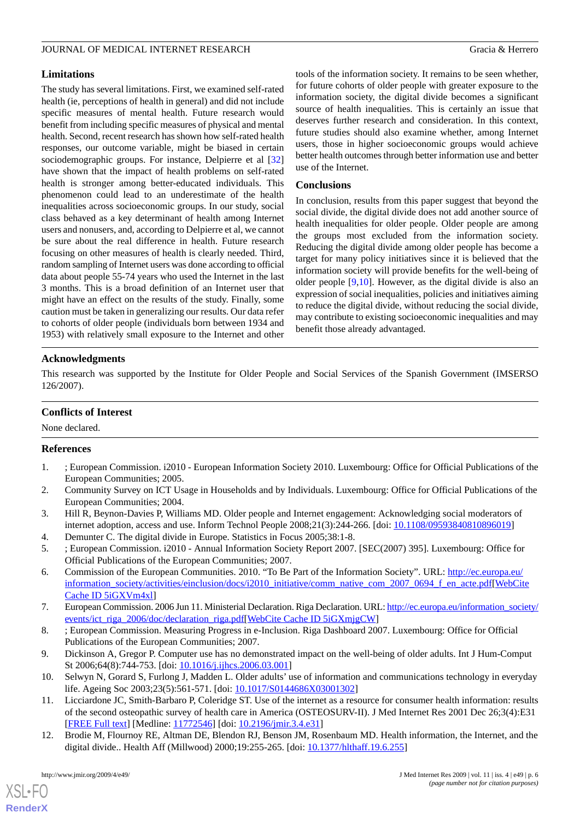## **Limitations**

The study has several limitations. First, we examined self-rated health (ie, perceptions of health in general) and did not include specific measures of mental health. Future research would benefit from including specific measures of physical and mental health. Second, recent research has shown how self-rated health responses, our outcome variable, might be biased in certain sociodemographic groups. For instance, Delpierre et al [\[32](#page-6-19)] have shown that the impact of health problems on self-rated health is stronger among better-educated individuals. This phenomenon could lead to an underestimate of the health inequalities across socioeconomic groups. In our study, social class behaved as a key determinant of health among Internet users and nonusers, and, according to Delpierre et al, we cannot be sure about the real difference in health. Future research focusing on other measures of health is clearly needed. Third, random sampling of Internet users was done according to official data about people 55-74 years who used the Internet in the last 3 months. This is a broad definition of an Internet user that might have an effect on the results of the study. Finally, some caution must be taken in generalizing our results. Our data refer to cohorts of older people (individuals born between 1934 and 1953) with relatively small exposure to the Internet and other

tools of the information society. It remains to be seen whether, for future cohorts of older people with greater exposure to the information society, the digital divide becomes a significant source of health inequalities. This is certainly an issue that deserves further research and consideration. In this context, future studies should also examine whether, among Internet users, those in higher socioeconomic groups would achieve better health outcomes through better information use and better use of the Internet.

### **Conclusions**

In conclusion, results from this paper suggest that beyond the social divide, the digital divide does not add another source of health inequalities for older people. Older people are among the groups most excluded from the information society. Reducing the digital divide among older people has become a target for many policy initiatives since it is believed that the information society will provide benefits for the well-being of older people [[9](#page-5-7)[,10](#page-5-8)]. However, as the digital divide is also an expression of social inequalities, policies and initiatives aiming to reduce the digital divide, without reducing the social divide, may contribute to existing socioeconomic inequalities and may benefit those already advantaged.

## **Acknowledgments**

This research was supported by the Institute for Older People and Social Services of the Spanish Government (IMSERSO 126/2007).

### **Conflicts of Interest**

<span id="page-5-0"></span>None declared.

#### **References**

- <span id="page-5-5"></span>1. ; European Commission. i2010 - European Information Society 2010. Luxembourg: Office for Official Publications of the European Communities; 2005.
- <span id="page-5-2"></span><span id="page-5-1"></span>2. Community Survey on ICT Usage in Households and by Individuals. Luxembourg: Office for Official Publications of the European Communities; 2004.
- <span id="page-5-3"></span>3. Hill R, Beynon-Davies P, Williams MD. Older people and Internet engagement: Acknowledging social moderators of internet adoption, access and use. Inform Technol People 2008;21(3):244-266. [doi: [10.1108/09593840810896019\]](http://dx.doi.org/10.1108/09593840810896019)
- 4. Demunter C. The digital divide in Europe. Statistics in Focus 2005;38:1-8.
- <span id="page-5-4"></span>5. ; European Commission. i2010 - Annual Information Society Report 2007. [SEC(2007) 395]. Luxembourg: Office for Official Publications of the European Communities; 2007.
- <span id="page-5-7"></span><span id="page-5-6"></span>6. Commission of the European Communities. 2010. "To Be Part of the Information Society". URL: [http://ec.europa.eu/](http://ec.europa.eu/information_society/activities/einclusion/docs/i2010_initiative/comm_native_com_2007_0694_f_en_acte.pdf) [information\\_society/activities/einclusion/docs/i2010\\_initiative/comm\\_native\\_com\\_2007\\_0694\\_f\\_en\\_acte.pdf](http://ec.europa.eu/information_society/activities/einclusion/docs/i2010_initiative/comm_native_com_2007_0694_f_en_acte.pdf)[\[WebCite](http://www.webcitation.org/

                                    5iGXVm4xl) [Cache ID 5iGXVm4xl](http://www.webcitation.org/

                                    5iGXVm4xl)]
- <span id="page-5-8"></span>7. European Commission. 2006 Jun 11. Ministerial Declaration. Riga Declaration. URL: [http://ec.europa.eu/information\\_society/](http://ec.europa.eu/information_society/events/ict_riga_2006/doc/declaration_riga.pdf) [events/ict\\_riga\\_2006/doc/declaration\\_riga.pdf\[](http://ec.europa.eu/information_society/events/ict_riga_2006/doc/declaration_riga.pdf)[WebCite Cache ID 5iGXmjgCW\]](http://www.webcitation.org/

                                    5iGXmjgCW)
- <span id="page-5-9"></span>8. ; European Commission. Measuring Progress in e-Inclusion. Riga Dashboard 2007. Luxembourg: Office for Official Publications of the European Communities; 2007.
- 9. Dickinson A, Gregor P. Computer use has no demonstrated impact on the well-being of older adults. Int J Hum-Comput St 2006;64(8):744-753. [doi: [10.1016/j.ijhcs.2006.03.001](http://dx.doi.org/10.1016/j.ijhcs.2006.03.001)]
- 10. Selwyn N, Gorard S, Furlong J, Madden L. Older adults' use of information and communications technology in everyday life. Ageing Soc 2003;23(5):561-571. [doi: [10.1017/S0144686X03001302](http://dx.doi.org/10.1017/S0144686X03001302)]
- 11. Licciardone JC, Smith-Barbaro P, Coleridge ST. Use of the internet as a resource for consumer health information: results of the second osteopathic survey of health care in America (OSTEOSURV-II). J Med Internet Res 2001 Dec 26;3(4):E31 [[FREE Full text](http://www.jmir.org/2001/4/e31/)] [Medline: [11772546](http://www.ncbi.nlm.nih.gov/entrez/query.fcgi?cmd=Retrieve&db=PubMed&list_uids=11772546&dopt=Abstract)] [doi: [10.2196/jmir.3.4.e31\]](http://dx.doi.org/10.2196/jmir.3.4.e31)
- 12. Brodie M, Flournoy RE, Altman DE, Blendon RJ, Benson JM, Rosenbaum MD. Health information, the Internet, and the digital divide.. Health Aff (Millwood) 2000;19:255-265. [doi: [10.1377/hlthaff.19.6.255](http://dx.doi.org/10.1377/hlthaff.19.6.255)]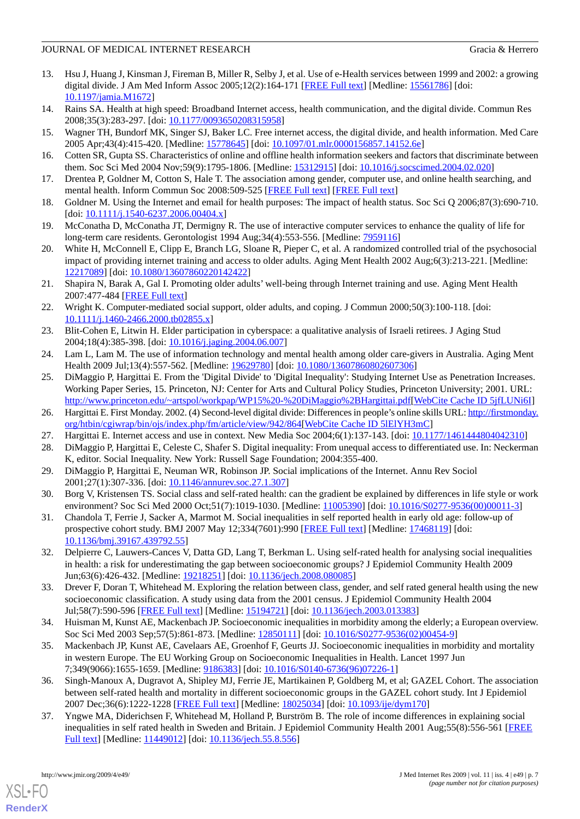- 13. Hsu J, Huang J, Kinsman J, Fireman B, Miller R, Selby J, et al. Use of e-Health services between 1999 and 2002: a growing digital divide. J Am Med Inform Assoc 2005;12(2):164-171 [[FREE Full text](http://www.pubmedcentral.nih.gov/articlerender.fcgi?tool=pubmed&pubmedid=15561786)] [Medline: [15561786\]](http://www.ncbi.nlm.nih.gov/entrez/query.fcgi?cmd=Retrieve&db=PubMed&list_uids=15561786&dopt=Abstract) [doi: [10.1197/jamia.M1672](http://dx.doi.org/10.1197/jamia.M1672)]
- <span id="page-6-0"></span>14. Rains SA. Health at high speed: Broadband Internet access, health communication, and the digital divide. Commun Res 2008;35(3):283-297. [doi: [10.1177/0093650208315958\]](http://dx.doi.org/10.1177/0093650208315958)
- <span id="page-6-1"></span>15. Wagner TH, Bundorf MK, Singer SJ, Baker LC. Free internet access, the digital divide, and health information. Med Care 2005 Apr;43(4):415-420. [Medline: [15778645](http://www.ncbi.nlm.nih.gov/entrez/query.fcgi?cmd=Retrieve&db=PubMed&list_uids=15778645&dopt=Abstract)] [doi: [10.1097/01.mlr.0000156857.14152.6e](http://dx.doi.org/10.1097/01.mlr.0000156857.14152.6e)]
- <span id="page-6-8"></span>16. Cotten SR, Gupta SS. Characteristics of online and offline health information seekers and factors that discriminate between them. Soc Sci Med 2004 Nov;59(9):1795-1806. [Medline: [15312915](http://www.ncbi.nlm.nih.gov/entrez/query.fcgi?cmd=Retrieve&db=PubMed&list_uids=15312915&dopt=Abstract)] [doi: [10.1016/j.socscimed.2004.02.020](http://dx.doi.org/10.1016/j.socscimed.2004.02.020)]
- <span id="page-6-2"></span>17. Drentea P, Goldner M, Cotton S, Hale T. The association among gender, computer use, and online health searching, and mental health. Inform Commun Soc 2008:509-525 [\[FREE Full text\]](http://www.informaworld.com/smpp/title~db=all~content=t713699183) [[FREE Full text](http://www.informaworld.com/smpp/title~db=all~content=t713699183~tab=issueslist~branches=11#v11)]
- <span id="page-6-3"></span>18. Goldner M. Using the Internet and email for health purposes: The impact of health status. Soc Sci Q 2006;87(3):690-710.  $[doi: 10.1111/j.1540-6237.2006.00404.x]$  $[doi: 10.1111/j.1540-6237.2006.00404.x]$  $[doi: 10.1111/j.1540-6237.2006.00404.x]$
- <span id="page-6-4"></span>19. McConatha D, McConatha JT, Dermigny R. The use of interactive computer services to enhance the quality of life for long-term care residents. Gerontologist 1994 Aug;34(4):553-556. [Medline: [7959116\]](http://www.ncbi.nlm.nih.gov/entrez/query.fcgi?cmd=Retrieve&db=PubMed&list_uids=7959116&dopt=Abstract)
- <span id="page-6-5"></span>20. White H, McConnell E, Clipp E, Branch LG, Sloane R, Pieper C, et al. A randomized controlled trial of the psychosocial impact of providing internet training and access to older adults. Aging Ment Health 2002 Aug;6(3):213-221. [Medline: [12217089](http://www.ncbi.nlm.nih.gov/entrez/query.fcgi?cmd=Retrieve&db=PubMed&list_uids=12217089&dopt=Abstract)] [doi: [10.1080/13607860220142422](http://dx.doi.org/10.1080/13607860220142422)]
- <span id="page-6-6"></span>21. Shapira N, Barak A, Gal I. Promoting older adults' well-being through Internet training and use. Aging Ment Health 2007:477-484 [\[FREE Full text\]](http://www.informaworld.com/smpp/title~db=all~content=t713404778~tab=issueslist~branches=11#v11)
- <span id="page-6-9"></span><span id="page-6-7"></span>22. Wright K. Computer-mediated social support, older adults, and coping. J Commun 2000;50(3):100-118. [doi: [10.1111/j.1460-2466.2000.tb02855.x\]](http://dx.doi.org/10.1111/j.1460-2466.2000.tb02855.x)
- <span id="page-6-10"></span>23. Blit-Cohen E, Litwin H. Elder participation in cyberspace: a qualitative analysis of Israeli retirees. J Aging Stud 2004;18(4):385-398. [doi: [10.1016/j.jaging.2004.06.007\]](http://dx.doi.org/10.1016/j.jaging.2004.06.007)
- 24. Lam L, Lam M. The use of information technology and mental health among older care-givers in Australia. Aging Ment Health 2009 Jul;13(4):557-562. [Medline: [19629780](http://www.ncbi.nlm.nih.gov/entrez/query.fcgi?cmd=Retrieve&db=PubMed&list_uids=19629780&dopt=Abstract)] [doi: [10.1080/13607860802607306\]](http://dx.doi.org/10.1080/13607860802607306)
- <span id="page-6-11"></span>25. DiMaggio P, Hargittai E. From the 'Digital Divide' to 'Digital Inequality': Studying Internet Use as Penetration Increases. Working Paper Series, 15. Princeton, NJ: Center for Arts and Cultural Policy Studies, Princeton University; 2001. URL: [http://www.princeton.edu/~artspol/workpap/WP15%20-%20DiMaggio%2BHargittai.pdf\[](http://www.princeton.edu/~artspol/workpap/WP15%20-%20DiMaggio%2BHargittai.pdf)[WebCite Cache ID 5jfLUNi6I\]](http://www.webcitation.org/

                                    5jfLUNi6I)
- <span id="page-6-13"></span><span id="page-6-12"></span>26. Hargittai E. First Monday. 2002. (4) Second-level digital divide: Differences in people's online skills URL: [http://firstmonday.](http://firstmonday.org/htbin/cgiwrap/bin/ojs/index.php/fm/article/view/942/864) [org/htbin/cgiwrap/bin/ojs/index.php/fm/article/view/942/864\[](http://firstmonday.org/htbin/cgiwrap/bin/ojs/index.php/fm/article/view/942/864)[WebCite Cache ID 5lElYH3mC](http://www.webcitation.org/

                                    5lElYH3mC)]
- 27. Hargittai E. Internet access and use in context. New Media Soc 2004;6(1):137-143. [doi: [10.1177/1461444804042310](http://dx.doi.org/10.1177/1461444804042310)]
- <span id="page-6-14"></span>28. DiMaggio P, Hargittai E, Celeste C, Shafer S. Digital inequality: From unequal access to differentiated use. In: Neckerman K, editor. Social Inequality. New York: Russell Sage Foundation; 2004:355-400.
- 29. DiMaggio P, Hargittai E, Neuman WR, Robinson JP. Social implications of the Internet. Annu Rev Sociol 2001;27(1):307-336. [doi: [10.1146/annurev.soc.27.1.307](http://dx.doi.org/10.1146/annurev.soc.27.1.307)]
- <span id="page-6-19"></span>30. Borg V, Kristensen TS. Social class and self-rated health: can the gradient be explained by differences in life style or work environment? Soc Sci Med 2000 Oct;51(7):1019-1030. [Medline: [11005390\]](http://www.ncbi.nlm.nih.gov/entrez/query.fcgi?cmd=Retrieve&db=PubMed&list_uids=11005390&dopt=Abstract) [doi: [10.1016/S0277-9536\(00\)00011-3](http://dx.doi.org/10.1016/S0277-9536(00)00011-3)]
- <span id="page-6-18"></span>31. Chandola T, Ferrie J, Sacker A, Marmot M. Social inequalities in self reported health in early old age: follow-up of prospective cohort study. BMJ 2007 May 12;334(7601):990 [\[FREE Full text](http://bmj.com/cgi/pmidlookup?view=long&pmid=17468119)] [Medline: [17468119](http://www.ncbi.nlm.nih.gov/entrez/query.fcgi?cmd=Retrieve&db=PubMed&list_uids=17468119&dopt=Abstract)] [doi: [10.1136/bmj.39167.439792.55\]](http://dx.doi.org/10.1136/bmj.39167.439792.55)
- <span id="page-6-16"></span>32. Delpierre C, Lauwers-Cances V, Datta GD, Lang T, Berkman L. Using self-rated health for analysing social inequalities in health: a risk for underestimating the gap between socioeconomic groups? J Epidemiol Community Health 2009 Jun;63(6):426-432. [Medline: [19218251\]](http://www.ncbi.nlm.nih.gov/entrez/query.fcgi?cmd=Retrieve&db=PubMed&list_uids=19218251&dopt=Abstract) [doi: [10.1136/jech.2008.080085](http://dx.doi.org/10.1136/jech.2008.080085)]
- <span id="page-6-17"></span>33. Drever F, Doran T, Whitehead M. Exploring the relation between class, gender, and self rated general health using the new socioeconomic classification. A study using data from the 2001 census. J Epidemiol Community Health 2004 Jul;58(7):590-596 [[FREE Full text\]](http://jech.bmj.com/cgi/pmidlookup?view=long&pmid=15194721) [Medline: [15194721\]](http://www.ncbi.nlm.nih.gov/entrez/query.fcgi?cmd=Retrieve&db=PubMed&list_uids=15194721&dopt=Abstract) [doi: [10.1136/jech.2003.013383\]](http://dx.doi.org/10.1136/jech.2003.013383)
- 34. Huisman M, Kunst AE, Mackenbach JP. Socioeconomic inequalities in morbidity among the elderly; a European overview. Soc Sci Med 2003 Sep;57(5):861-873. [Medline: [12850111](http://www.ncbi.nlm.nih.gov/entrez/query.fcgi?cmd=Retrieve&db=PubMed&list_uids=12850111&dopt=Abstract)] [doi: [10.1016/S0277-9536\(02\)00454-9](http://dx.doi.org/10.1016/S0277-9536(02)00454-9)]
- <span id="page-6-15"></span>35. Mackenbach JP, Kunst AE, Cavelaars AE, Groenhof F, Geurts JJ. Socioeconomic inequalities in morbidity and mortality in western Europe. The EU Working Group on Socioeconomic Inequalities in Health. Lancet 1997 Jun 7;349(9066):1655-1659. [Medline: [9186383](http://www.ncbi.nlm.nih.gov/entrez/query.fcgi?cmd=Retrieve&db=PubMed&list_uids=9186383&dopt=Abstract)] [doi: [10.1016/S0140-6736\(96\)07226-1](http://dx.doi.org/10.1016/S0140-6736(96)07226-1)]
- 36. Singh-Manoux A, Dugravot A, Shipley MJ, Ferrie JE, Martikainen P, Goldberg M, et al; GAZEL Cohort. The association between self-rated health and mortality in different socioeconomic groups in the GAZEL cohort study. Int J Epidemiol 2007 Dec;36(6):1222-1228 [[FREE Full text\]](http://ije.oxfordjournals.org/cgi/pmidlookup?view=long&pmid=18025034) [Medline: [18025034\]](http://www.ncbi.nlm.nih.gov/entrez/query.fcgi?cmd=Retrieve&db=PubMed&list_uids=18025034&dopt=Abstract) [doi: [10.1093/ije/dym170\]](http://dx.doi.org/10.1093/ije/dym170)
- 37. Yngwe MA, Diderichsen F, Whitehead M, Holland P, Burström B. The role of income differences in explaining social inequalities in self rated health in Sweden and Britain. J Epidemiol Community Health 2001 Aug;55(8):556-561 [\[FREE](http://jech.bmj.com/cgi/pmidlookup?view=long&pmid=11449012) [Full text\]](http://jech.bmj.com/cgi/pmidlookup?view=long&pmid=11449012) [Medline: [11449012\]](http://www.ncbi.nlm.nih.gov/entrez/query.fcgi?cmd=Retrieve&db=PubMed&list_uids=11449012&dopt=Abstract) [doi: [10.1136/jech.55.8.556](http://dx.doi.org/10.1136/jech.55.8.556)]